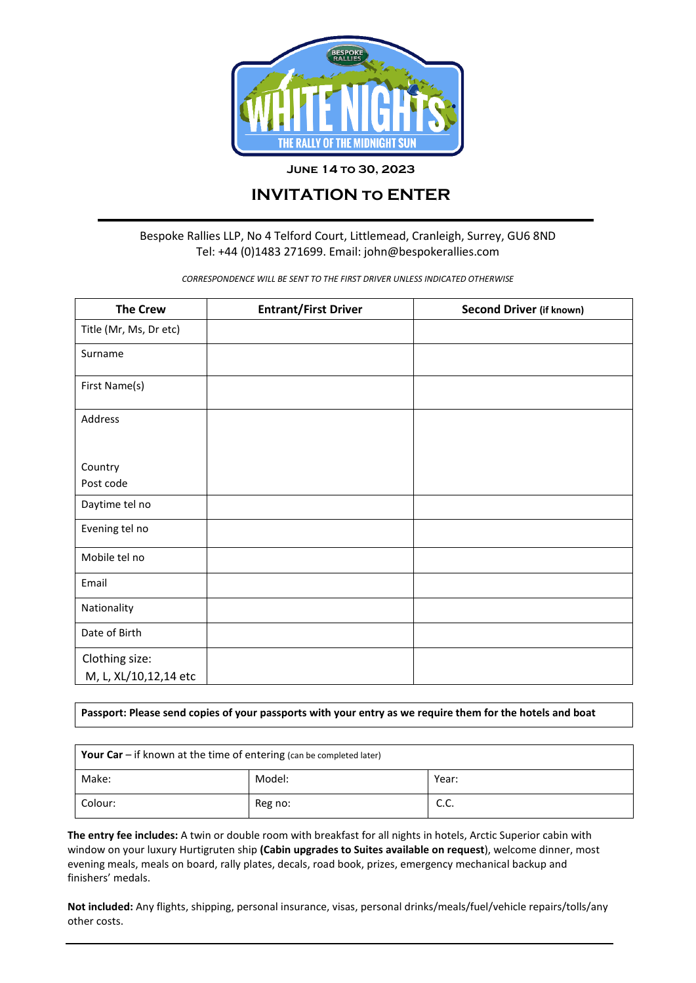

### **June 14 to 30, 2023**

# **INVITATION to ENTER**

## Bespoke Rallies LLP, No 4 Telford Court, Littlemead, Cranleigh, Surrey, GU6 8ND Tel: +44 (0)1483 271699. Email: john@bespokerallies.com

*CORRESPONDENCE WILL BE SENT TO THE FIRST DRIVER UNLESS INDICATED OTHERWISE*

| <b>The Crew</b>        | <b>Entrant/First Driver</b> | Second Driver (if known) |  |
|------------------------|-----------------------------|--------------------------|--|
| Title (Mr, Ms, Dr etc) |                             |                          |  |
| Surname                |                             |                          |  |
| First Name(s)          |                             |                          |  |
| Address                |                             |                          |  |
|                        |                             |                          |  |
| Country                |                             |                          |  |
| Post code              |                             |                          |  |
| Daytime tel no         |                             |                          |  |
| Evening tel no         |                             |                          |  |
| Mobile tel no          |                             |                          |  |
| Email                  |                             |                          |  |
| Nationality            |                             |                          |  |
| Date of Birth          |                             |                          |  |
| Clothing size:         |                             |                          |  |
| M, L, XL/10,12,14 etc  |                             |                          |  |

**Passport: Please send copies of your passports with your entry as we require them for the hotels and boat**

| <b>Your Car</b> $-$ if known at the time of entering (can be completed later) |         |             |  |  |
|-------------------------------------------------------------------------------|---------|-------------|--|--|
| Make:                                                                         | Model:  | Year:       |  |  |
| Colour:                                                                       | Reg no: | r r<br>J.J. |  |  |

**The entry fee includes:** A twin or double room with breakfast for all nights in hotels, Arctic Superior cabin with window on your luxury Hurtigruten ship **(Cabin upgrades to Suites available on request**), welcome dinner, most evening meals, meals on board, rally plates, decals, road book, prizes, emergency mechanical backup and finishers' medals.

**Not included:** Any flights, shipping, personal insurance, visas, personal drinks/meals/fuel/vehicle repairs/tolls/any other costs.